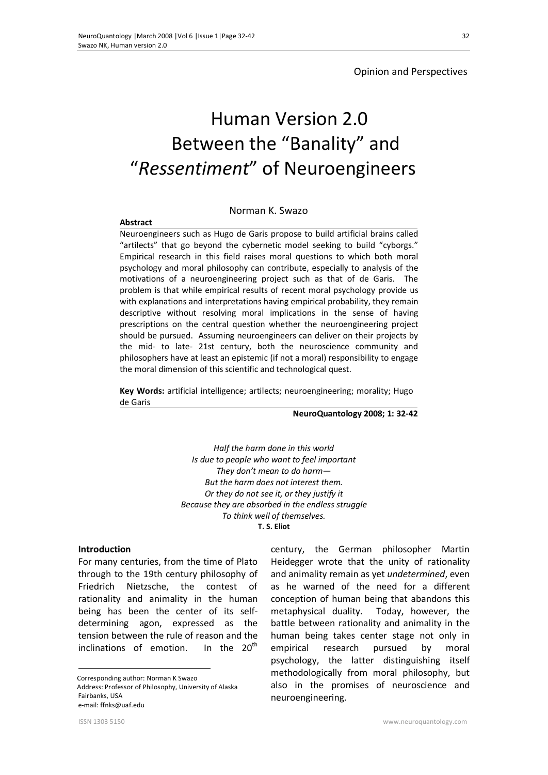# Opinion and Perspectives

# Human Version 2.0 Between the "Banality" and "*Ressentiment*" of Neuroengineers

## Norman K. Swazo

#### **Abstract**

Neuroengineers such as Hugo de Garis propose to build artificial brains called "artilects" that go beyond the cybernetic model seeking to build "cyborgs." Empirical research in this field raises moral questions to which both moral psychology and moral philosophy can contribute, especially to analysis of the motivations of a neuroengineering project such as that of de Garis. The problem is that while empirical results of recent moral psychology provide us with explanations and interpretations having empirical probability, they remain descriptive without resolving moral implications in the sense of having prescriptions on the central question whether the neuroengineering project should be pursued. Assuming neuroengineers can deliver on their projects by the mid- to late- 21st century, both the neuroscience community and philosophers have at least an epistemic (if not a moral) responsibility to engage the moral dimension of this scientific and technological quest.

**Key Words:** artificial intelligence; artilects; neuroengineering; morality; Hugo de Garis

**NeuroQuantology 2008; 1: 32-42**

*Half the harm done in this world Is due to people who want to feel important They don't mean to do harm— But the harm does not interest them. Or they do not see it, or they justify it Because they are absorbed in the endless struggle To think well of themselves.*  **T. S. Eliot** 

#### **Introduction**

For many centuries, from the time of Plato through to the 19th century philosophy of Friedrich Nietzsche, the contest of rationality and animality in the human being has been the center of its selfdetermining agon, expressed as the tension between the rule of reason and the inclinations of emotion. In the  $20<sup>th</sup>$ 

 Corresponding author: Norman K Swazo Address: Professor of Philosophy, University of Alaska Fairbanks, USA e-mail: ffnks@uaf.edu

century, the German philosopher Martin Heidegger wrote that the unity of rationality and animality remain as yet *undetermined*, even as he warned of the need for a different conception of human being that abandons this metaphysical duality. Today, however, the battle between rationality and animality in the human being takes center stage not only in empirical research pursued by moral psychology, the latter distinguishing itself methodologically from moral philosophy, but also in the promises of neuroscience and neuroengineering.

 $\overline{a}$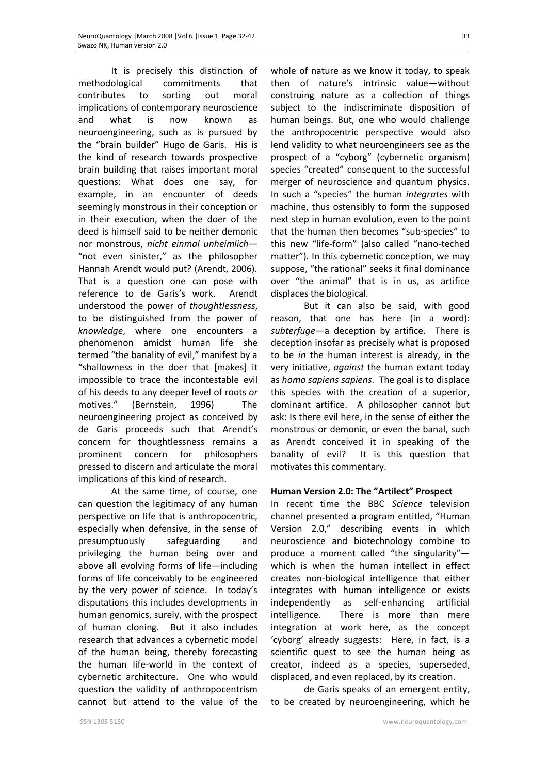It is precisely this distinction of methodological commitments that contributes to sorting out moral implications of contemporary neuroscience and what is now known as neuroengineering, such as is pursued by the "brain builder" Hugo de Garis. His is the kind of research towards prospective brain building that raises important moral questions: What does one say, for example, in an encounter of deeds seemingly monstrous in their conception or in their execution, when the doer of the deed is himself said to be neither demonic nor monstrous, *nicht einmal unheimlich—* "not even sinister," as the philosopher Hannah Arendt would put? (Arendt, 2006). That is a question one can pose with reference to de Garis's work. Arendt understood the power of *thoughtlessness*, to be distinguished from the power of *knowledge*, where one encounters a phenomenon amidst human life she termed "the banality of evil," manifest by a "shallowness in the doer that [makes] it impossible to trace the incontestable evil of his deeds to any deeper level of roots *or*  motives." (Bernstein, 1996) The neuroengineering project as conceived by de Garis proceeds such that Arendt's concern for thoughtlessness remains a prominent concern for philosophers pressed to discern and articulate the moral implications of this kind of research.

At the same time, of course, one can question the legitimacy of any human perspective on life that is anthropocentric, especially when defensive, in the sense of presumptuously safeguarding and privileging the human being over and above all evolving forms of life—including forms of life conceivably to be engineered by the very power of science. In today's disputations this includes developments in human genomics, surely, with the prospect of human cloning. But it also includes research that advances a cybernetic model of the human being, thereby forecasting the human life-world in the context of cybernetic architecture. One who would question the validity of anthropocentrism cannot but attend to the value of the whole of nature as we know it today, to speak then of nature's intrinsic value—without construing nature as a collection of things subject to the indiscriminate disposition of human beings. But, one who would challenge the anthropocentric perspective would also lend validity to what neuroengineers see as the prospect of a "cyborg" (cybernetic organism) species "created" consequent to the successful merger of neuroscience and quantum physics. In such a "species" the human *integrates* with machine, thus ostensibly to form the supposed next step in human evolution, even to the point that the human then becomes "sub-species" to this new "life-form" (also called "nano-teched matter"). In this cybernetic conception, we may suppose, "the rational" seeks it final dominance over "the animal" that is in us, as artifice displaces the biological.

But it can also be said, with good reason, that one has here (in a word): *subterfuge*—a deception by artifice. There is deception insofar as precisely what is proposed to be *in* the human interest is already, in the very initiative, *against* the human extant today as *homo sapiens sapiens*. The goal is to displace this species with the creation of a superior, dominant artifice. A philosopher cannot but ask: Is there evil here, in the sense of either the monstrous or demonic, or even the banal, such as Arendt conceived it in speaking of the banality of evil? It is this question that motivates this commentary.

## **Human Version 2.0: The "Artilect" Prospect**

In recent time the BBC *Science* television channel presented a program entitled, "Human Version 2.0," describing events in which neuroscience and biotechnology combine to produce a moment called "the singularity" which is when the human intellect in effect creates non-biological intelligence that either integrates with human intelligence or exists independently as self-enhancing artificial intelligence. There is more than mere integration at work here, as the concept 'cyborg' already suggests: Here, in fact, is a scientific quest to see the human being as creator, indeed as a species, superseded, displaced, and even replaced, by its creation.

de Garis speaks of an emergent entity, to be created by neuroengineering, which he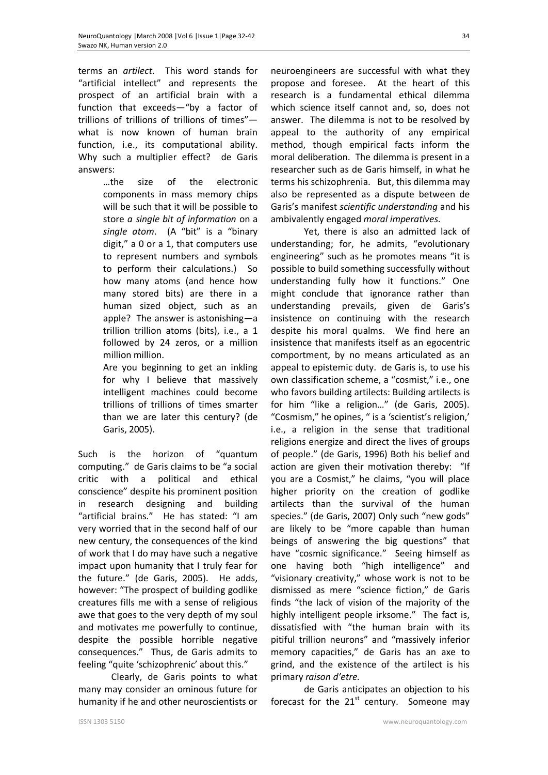terms an *artilect*. This word stands for "artificial intellect" and represents the prospect of an artificial brain with a function that exceeds—"by a factor of trillions of trillions of trillions of times" what is now known of human brain function, i.e., its computational ability. Why such a multiplier effect? de Garis answers:

> …the size of the electronic components in mass memory chips will be such that it will be possible to store *a single bit of information* on a *single atom*. (A "bit" is a "binary digit," a 0 or a 1, that computers use to represent numbers and symbols to perform their calculations.) So how many atoms (and hence how many stored bits) are there in a human sized object, such as an apple? The answer is astonishing—a trillion trillion atoms (bits), i.e., a 1 followed by 24 zeros, or a million million million.

Are you beginning to get an inkling for why I believe that massively intelligent machines could become trillions of trillions of times smarter than we are later this century? (de Garis, 2005).

Such is the horizon of "quantum computing." de Garis claims to be "a social critic with a political and ethical conscience" despite his prominent position in research designing and building "artificial brains." He has stated: "I am very worried that in the second half of our new century, the consequences of the kind of work that I do may have such a negative impact upon humanity that I truly fear for the future." (de Garis, 2005). He adds, however: "The prospect of building godlike creatures fills me with a sense of religious awe that goes to the very depth of my soul and motivates me powerfully to continue, despite the possible horrible negative consequences." Thus, de Garis admits to feeling "quite 'schizophrenic' about this."

Clearly, de Garis points to what many may consider an ominous future for humanity if he and other neuroscientists or

ISSN 1303 5150 www.neuroquantology.com

neuroengineers are successful with what they propose and foresee. At the heart of this research is a fundamental ethical dilemma which science itself cannot and, so, does not answer. The dilemma is not to be resolved by appeal to the authority of any empirical method, though empirical facts inform the moral deliberation. The dilemma is present in a researcher such as de Garis himself, in what he terms his schizophrenia. But, this dilemma may also be represented as a dispute between de Garis's manifest *scientific understanding* and his ambivalently engaged *moral imperatives*.

Yet, there is also an admitted lack of understanding; for, he admits, "evolutionary engineering" such as he promotes means "it is possible to build something successfully without understanding fully how it functions." One might conclude that ignorance rather than understanding prevails, given de Garis's insistence on continuing with the research despite his moral qualms. We find here an insistence that manifests itself as an egocentric comportment, by no means articulated as an appeal to epistemic duty. de Garis is, to use his own classification scheme, a "cosmist," i.e., one who favors building artilects: Building artilects is for him "like a religion…" (de Garis, 2005). "Cosmism," he opines, " is a 'scientist's religion,' i.e., a religion in the sense that traditional religions energize and direct the lives of groups of people." (de Garis, 1996) Both his belief and action are given their motivation thereby: "If you are a Cosmist," he claims, "you will place higher priority on the creation of godlike artilects than the survival of the human species." (de Garis, 2007) Only such "new gods" are likely to be "more capable than human beings of answering the big questions" that have "cosmic significance." Seeing himself as one having both "high intelligence" and "visionary creativity," whose work is not to be dismissed as mere "science fiction," de Garis finds "the lack of vision of the majority of the highly intelligent people irksome." The fact is, dissatisfied with "the human brain with its pitiful trillion neurons" and "massively inferior memory capacities," de Garis has an axe to grind, and the existence of the artilect is his primary *raison d'etre.*

de Garis anticipates an objection to his forecast for the  $21<sup>st</sup>$  century. Someone may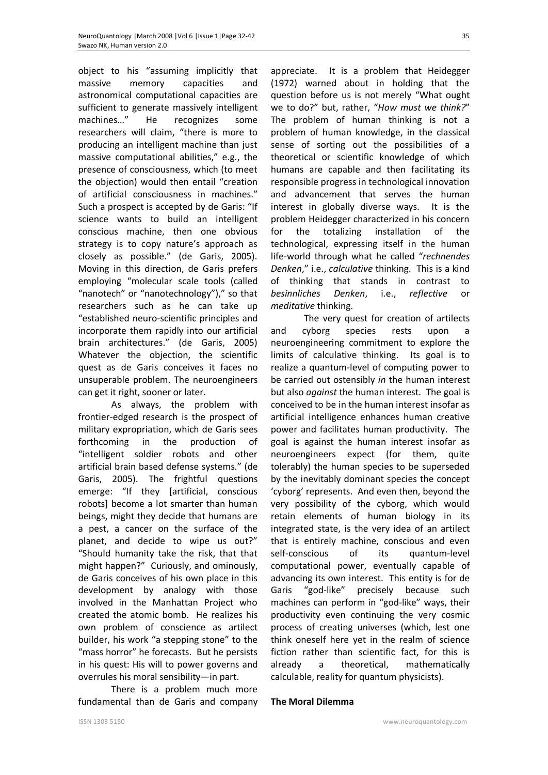object to his "assuming implicitly that massive memory capacities and astronomical computational capacities are sufficient to generate massively intelligent machines…" He recognizes some researchers will claim, "there is more to producing an intelligent machine than just massive computational abilities," e.g., the presence of consciousness, which (to meet the objection) would then entail "creation of artificial consciousness in machines." Such a prospect is accepted by de Garis: "If science wants to build an intelligent conscious machine, then one obvious strategy is to copy nature's approach as closely as possible." (de Garis, 2005). Moving in this direction, de Garis prefers employing "molecular scale tools (called "nanotech" or "nanotechnology")," so that researchers such as he can take up "established neuro-scientific principles and incorporate them rapidly into our artificial brain architectures." (de Garis, 2005) Whatever the objection, the scientific quest as de Garis conceives it faces no unsuperable problem. The neuroengineers can get it right, sooner or later.

As always, the problem with frontier-edged research is the prospect of military expropriation, which de Garis sees forthcoming in the production of "intelligent soldier robots and other artificial brain based defense systems." (de Garis, 2005). The frightful questions emerge: "If they [artificial, conscious robots] become a lot smarter than human beings, might they decide that humans are a pest, a cancer on the surface of the planet, and decide to wipe us out?" "Should humanity take the risk, that that might happen?" Curiously, and ominously, de Garis conceives of his own place in this development by analogy with those involved in the Manhattan Project who created the atomic bomb. He realizes his own problem of conscience as artilect builder, his work "a stepping stone" to the "mass horror" he forecasts. But he persists in his quest: His will to power governs and overrules his moral sensibility—in part.

There is a problem much more fundamental than de Garis and company appreciate. It is a problem that Heidegger (1972) warned about in holding that the question before us is not merely "What ought we to do?" but, rather, "*How must we think?*" The problem of human thinking is not a problem of human knowledge, in the classical sense of sorting out the possibilities of a theoretical or scientific knowledge of which humans are capable and then facilitating its responsible progress in technological innovation and advancement that serves the human interest in globally diverse ways. It is the problem Heidegger characterized in his concern for the totalizing installation of the technological, expressing itself in the human life-world through what he called "*rechnendes Denken*," i.e., *calculative* thinking. This is a kind of thinking that stands in contrast to *besinnliches Denken*, i.e., *reflective* or *meditative* thinking.

The very quest for creation of artilects and cyborg species rests upon a neuroengineering commitment to explore the limits of calculative thinking. Its goal is to realize a quantum-level of computing power to be carried out ostensibly *in* the human interest but also *against* the human interest. The goal is conceived to be in the human interest insofar as artificial intelligence enhances human creative power and facilitates human productivity. The goal is against the human interest insofar as neuroengineers expect (for them, quite tolerably) the human species to be superseded by the inevitably dominant species the concept 'cyborg' represents. And even then, beyond the very possibility of the cyborg, which would retain elements of human biology in its integrated state, is the very idea of an artilect that is entirely machine, conscious and even self-conscious of its quantum-level computational power, eventually capable of advancing its own interest. This entity is for de Garis "god-like" precisely because such machines can perform in "god-like" ways, their productivity even continuing the very cosmic process of creating universes (which, lest one think oneself here yet in the realm of science fiction rather than scientific fact, for this is already a theoretical, mathematically calculable, reality for quantum physicists).

## **The Moral Dilemma**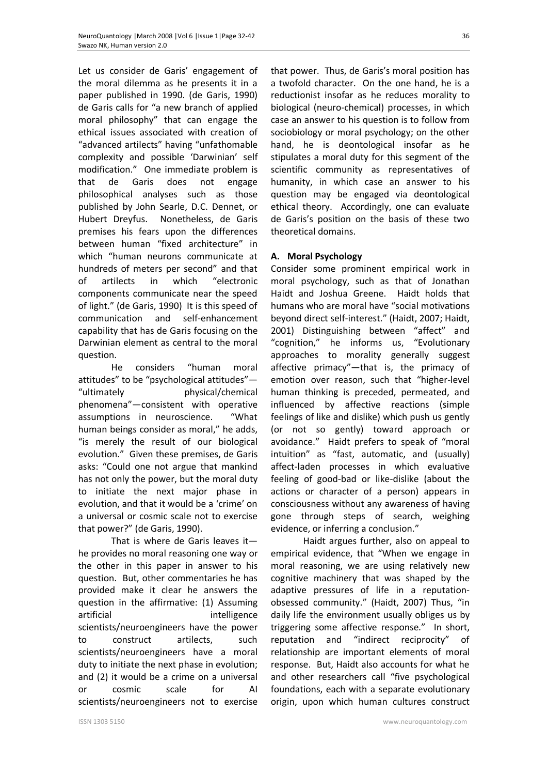Let us consider de Garis' engagement of the moral dilemma as he presents it in a paper published in 1990. (de Garis, 1990) de Garis calls for "a new branch of applied moral philosophy" that can engage the ethical issues associated with creation of "advanced artilects" having "unfathomable complexity and possible 'Darwinian' self modification." One immediate problem is that de Garis does not engage philosophical analyses such as those published by John Searle, D.C. Dennet, or Hubert Dreyfus. Nonetheless, de Garis premises his fears upon the differences between human "fixed architecture" in which "human neurons communicate at hundreds of meters per second" and that of artilects in which "electronic components communicate near the speed of light." (de Garis, 1990) It is this speed of communication and self-enhancement capability that has de Garis focusing on the Darwinian element as central to the moral question.

He considers "human moral attitudes" to be "psychological attitudes"— "ultimately physical/chemical phenomena"—consistent with operative assumptions in neuroscience. "What human beings consider as moral," he adds, "is merely the result of our biological evolution." Given these premises, de Garis asks: "Could one not argue that mankind has not only the power, but the moral duty to initiate the next major phase in evolution, and that it would be a 'crime' on a universal or cosmic scale not to exercise that power?" (de Garis, 1990).

That is where de Garis leaves it he provides no moral reasoning one way or the other in this paper in answer to his question. But, other commentaries he has provided make it clear he answers the question in the affirmative: (1) Assuming artificial intelligence scientists/neuroengineers have the power to construct artilects, such scientists/neuroengineers have a moral duty to initiate the next phase in evolution; and (2) it would be a crime on a universal or cosmic scale for AI scientists/neuroengineers not to exercise that power. Thus, de Garis's moral position has a twofold character. On the one hand, he is a reductionist insofar as he reduces morality to biological (neuro-chemical) processes, in which case an answer to his question is to follow from sociobiology or moral psychology; on the other hand, he is deontological insofar as he stipulates a moral duty for this segment of the scientific community as representatives of humanity, in which case an answer to his question may be engaged via deontological ethical theory. Accordingly, one can evaluate de Garis's position on the basis of these two theoretical domains.

## **A. Moral Psychology**

Consider some prominent empirical work in moral psychology, such as that of Jonathan Haidt and Joshua Greene. Haidt holds that humans who are moral have "social motivations beyond direct self-interest." (Haidt, 2007; Haidt, 2001) Distinguishing between "affect" and "cognition," he informs us, "Evolutionary approaches to morality generally suggest affective primacy"—that is, the primacy of emotion over reason, such that "higher-level human thinking is preceded, permeated, and influenced by affective reactions (simple feelings of like and dislike) which push us gently (or not so gently) toward approach or avoidance." Haidt prefers to speak of "moral intuition" as "fast, automatic, and (usually) affect-laden processes in which evaluative feeling of good-bad or like-dislike (about the actions or character of a person) appears in consciousness without any awareness of having gone through steps of search, weighing evidence, or inferring a conclusion."

Haidt argues further, also on appeal to empirical evidence, that "When we engage in moral reasoning, we are using relatively new cognitive machinery that was shaped by the adaptive pressures of life in a reputationobsessed community." (Haidt, 2007) Thus, "in daily life the environment usually obliges us by triggering some affective response." In short, reputation and "indirect reciprocity" of relationship are important elements of moral response. But, Haidt also accounts for what he and other researchers call "five psychological foundations, each with a separate evolutionary origin, upon which human cultures construct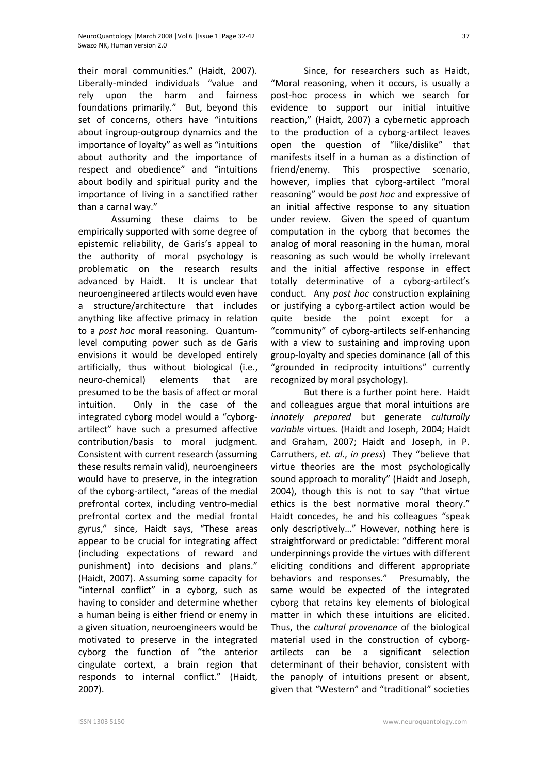their moral communities." (Haidt, 2007). Liberally-minded individuals "value and rely upon the harm and fairness foundations primarily." But, beyond this set of concerns, others have "intuitions about ingroup-outgroup dynamics and the importance of loyalty" as well as "intuitions about authority and the importance of respect and obedience" and "intuitions about bodily and spiritual purity and the importance of living in a sanctified rather than a carnal way."

Assuming these claims to be empirically supported with some degree of epistemic reliability, de Garis's appeal to the authority of moral psychology is problematic on the research results advanced by Haidt. It is unclear that neuroengineered artilects would even have a structure/architecture that includes anything like affective primacy in relation to a *post hoc* moral reasoning. Quantumlevel computing power such as de Garis envisions it would be developed entirely artificially, thus without biological (i.e., neuro-chemical) elements that are presumed to be the basis of affect or moral intuition. Only in the case of the integrated cyborg model would a "cyborgartilect" have such a presumed affective contribution/basis to moral judgment. Consistent with current research (assuming these results remain valid), neuroengineers would have to preserve, in the integration of the cyborg-artilect, "areas of the medial prefrontal cortex, including ventro-medial prefrontal cortex and the medial frontal gyrus," since, Haidt says, "These areas appear to be crucial for integrating affect (including expectations of reward and punishment) into decisions and plans." (Haidt, 2007). Assuming some capacity for "internal conflict" in a cyborg, such as having to consider and determine whether a human being is either friend or enemy in a given situation, neuroengineers would be motivated to preserve in the integrated cyborg the function of "the anterior cingulate cortext, a brain region that responds to internal conflict." (Haidt, 2007).

Since, for researchers such as Haidt, "Moral reasoning, when it occurs, is usually a post-hoc process in which we search for evidence to support our initial intuitive reaction," (Haidt, 2007) a cybernetic approach to the production of a cyborg-artilect leaves open the question of "like/dislike" that manifests itself in a human as a distinction of friend/enemy. This prospective scenario, however, implies that cyborg-artilect "moral reasoning" would be *post hoc* and expressive of an initial affective response to any situation under review. Given the speed of quantum computation in the cyborg that becomes the analog of moral reasoning in the human, moral reasoning as such would be wholly irrelevant and the initial affective response in effect totally determinative of a cyborg-artilect's conduct. Any *post hoc* construction explaining or justifying a cyborg-artilect action would be quite beside the point except for a "community" of cyborg-artilects self-enhancing with a view to sustaining and improving upon group-loyalty and species dominance (all of this "grounded in reciprocity intuitions" currently recognized by moral psychology).

But there is a further point here. Haidt and colleagues argue that moral intuitions are *innately prepared* but generate *culturally variable* virtues. (Haidt and Joseph, 2004; Haidt and Graham, 2007; Haidt and Joseph, in P. Carruthers, *et. al*., *in press*) They "believe that virtue theories are the most psychologically sound approach to morality" (Haidt and Joseph, 2004), though this is not to say "that virtue ethics is the best normative moral theory." Haidt concedes, he and his colleagues "speak only descriptively…" However, nothing here is straightforward or predictable: "different moral underpinnings provide the virtues with different eliciting conditions and different appropriate behaviors and responses." Presumably, the same would be expected of the integrated cyborg that retains key elements of biological matter in which these intuitions are elicited. Thus, the *cultural provenance* of the biological material used in the construction of cyborgartilects can be a significant selection determinant of their behavior, consistent with the panoply of intuitions present or absent, given that "Western" and "traditional" societies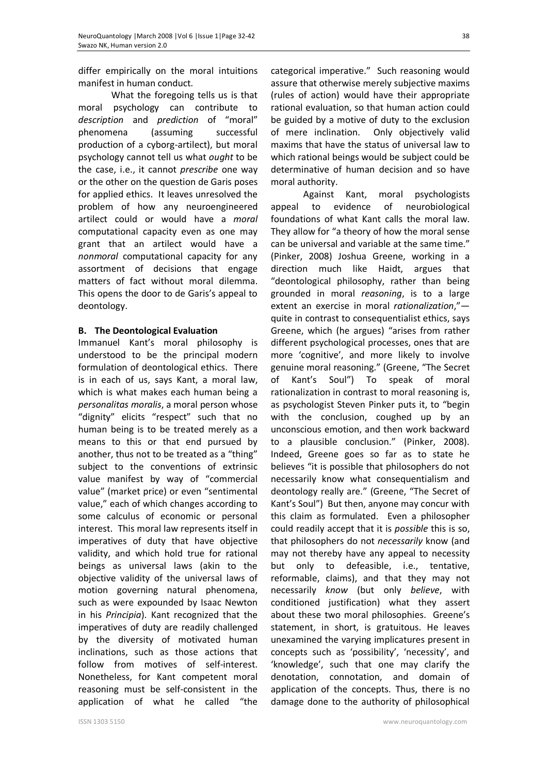differ empirically on the moral intuitions manifest in human conduct.

What the foregoing tells us is that moral psychology can contribute to *description* and *prediction* of "moral" phenomena (assuming successful production of a cyborg-artilect), but moral psychology cannot tell us what *ought* to be the case, i.e., it cannot *prescribe* one way or the other on the question de Garis poses for applied ethics. It leaves unresolved the problem of how any neuroengineered artilect could or would have a *moral*  computational capacity even as one may grant that an artilect would have a *nonmoral* computational capacity for any assortment of decisions that engage matters of fact without moral dilemma. This opens the door to de Garis's appeal to deontology.

## **B. The Deontological Evaluation**

Immanuel Kant's moral philosophy is understood to be the principal modern formulation of deontological ethics. There is in each of us, says Kant, a moral law, which is what makes each human being a *personalitas moralis*, a moral person whose "dignity" elicits "respect" such that no human being is to be treated merely as a means to this or that end pursued by another, thus not to be treated as a "thing" subject to the conventions of extrinsic value manifest by way of "commercial value" (market price) or even "sentimental value," each of which changes according to some calculus of economic or personal interest. This moral law represents itself in imperatives of duty that have objective validity, and which hold true for rational beings as universal laws (akin to the objective validity of the universal laws of motion governing natural phenomena, such as were expounded by Isaac Newton in his *Principia*). Kant recognized that the imperatives of duty are readily challenged by the diversity of motivated human inclinations, such as those actions that follow from motives of self-interest. Nonetheless, for Kant competent moral reasoning must be self-consistent in the application of what he called "the

categorical imperative." Such reasoning would assure that otherwise merely subjective maxims (rules of action) would have their appropriate rational evaluation, so that human action could be guided by a motive of duty to the exclusion of mere inclination. Only objectively valid maxims that have the status of universal law to which rational beings would be subject could be determinative of human decision and so have moral authority.

Against Kant, moral psychologists appeal to evidence of neurobiological foundations of what Kant calls the moral law. They allow for "a theory of how the moral sense can be universal and variable at the same time." (Pinker, 2008) Joshua Greene, working in a direction much like Haidt, argues that "deontological philosophy, rather than being grounded in moral *reasoning*, is to a large extent an exercise in moral *rationalization*," quite in contrast to consequentialist ethics, says Greene, which (he argues) "arises from rather different psychological processes, ones that are more 'cognitive', and more likely to involve genuine moral reasoning." (Greene, "The Secret of Kant's Soul") To speak of moral rationalization in contrast to moral reasoning is, as psychologist Steven Pinker puts it, to "begin with the conclusion, coughed up by an unconscious emotion, and then work backward to a plausible conclusion." (Pinker, 2008). Indeed, Greene goes so far as to state he believes "it is possible that philosophers do not necessarily know what consequentialism and deontology really are." (Greene, "The Secret of Kant's Soul") But then, anyone may concur with this claim as formulated. Even a philosopher could readily accept that it is *possible* this is so, that philosophers do not *necessarily* know (and may not thereby have any appeal to necessity but only to defeasible, i.e., tentative, reformable, claims), and that they may not necessarily *know* (but only *believe*, with conditioned justification) what they assert about these two moral philosophies. Greene's statement, in short, is gratuitous. He leaves unexamined the varying implicatures present in concepts such as 'possibility', 'necessity', and 'knowledge', such that one may clarify the denotation, connotation, and domain of application of the concepts. Thus, there is no damage done to the authority of philosophical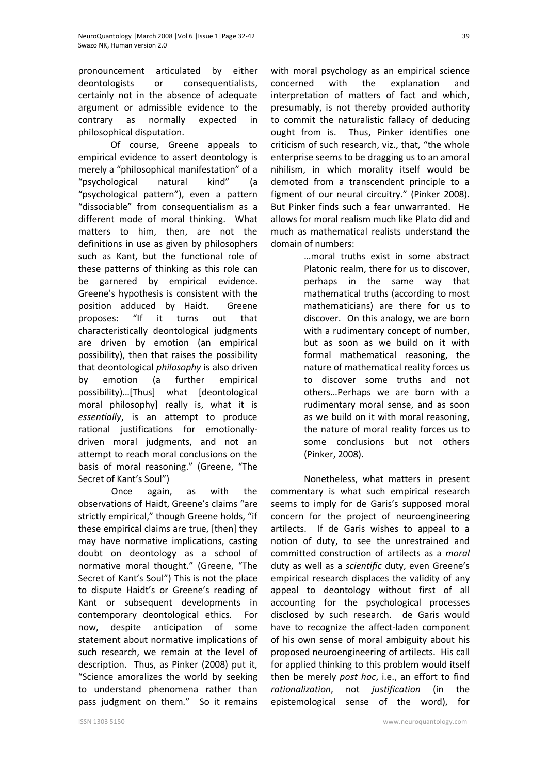pronouncement articulated by either deontologists or consequentialists, certainly not in the absence of adequate argument or admissible evidence to the contrary as normally expected in philosophical disputation.

Of course, Greene appeals to empirical evidence to assert deontology is merely a "philosophical manifestation" of a "psychological natural kind" (a "psychological pattern"), even a pattern "dissociable" from consequentialism as a different mode of moral thinking. What matters to him, then, are not the definitions in use as given by philosophers such as Kant, but the functional role of these patterns of thinking as this role can be garnered by empirical evidence. Greene's hypothesis is consistent with the position adduced by Haidt. Greene proposes: "If it turns out that characteristically deontological judgments are driven by emotion (an empirical possibility), then that raises the possibility that deontological *philosophy* is also driven by emotion (a further empirical possibility)…[Thus] what [deontological moral philosophy] really is, what it is *essentially*, is an attempt to produce rational justifications for emotionallydriven moral judgments, and not an attempt to reach moral conclusions on the basis of moral reasoning." (Greene, "The Secret of Kant's Soul")

Once again, as with the observations of Haidt, Greene's claims "are strictly empirical," though Greene holds, "if these empirical claims are true, [then] they may have normative implications, casting doubt on deontology as a school of normative moral thought." (Greene, "The Secret of Kant's Soul") This is not the place to dispute Haidt's or Greene's reading of Kant or subsequent developments in contemporary deontological ethics. For now, despite anticipation of some statement about normative implications of such research, we remain at the level of description. Thus, as Pinker (2008) put it, "Science amoralizes the world by seeking to understand phenomena rather than pass judgment on them." So it remains

with moral psychology as an empirical science concerned with the explanation and interpretation of matters of fact and which, presumably, is not thereby provided authority to commit the naturalistic fallacy of deducing ought from is. Thus, Pinker identifies one criticism of such research, viz., that, "the whole enterprise seems to be dragging us to an amoral nihilism, in which morality itself would be demoted from a transcendent principle to a figment of our neural circuitry." (Pinker 2008). But Pinker finds such a fear unwarranted. He allows for moral realism much like Plato did and much as mathematical realists understand the domain of numbers:

…moral truths exist in some abstract Platonic realm, there for us to discover, perhaps in the same way that mathematical truths (according to most mathematicians) are there for us to discover. On this analogy, we are born with a rudimentary concept of number, but as soon as we build on it with formal mathematical reasoning, the nature of mathematical reality forces us to discover some truths and not others…Perhaps we are born with a rudimentary moral sense, and as soon as we build on it with moral reasoning, the nature of moral reality forces us to some conclusions but not others (Pinker, 2008).

Nonetheless, what matters in present commentary is what such empirical research seems to imply for de Garis's supposed moral concern for the project of neuroengineering artilects. If de Garis wishes to appeal to a notion of duty, to see the unrestrained and committed construction of artilects as a *moral* duty as well as a *scientific* duty, even Greene's empirical research displaces the validity of any appeal to deontology without first of all accounting for the psychological processes disclosed by such research. de Garis would have to recognize the affect-laden component of his own sense of moral ambiguity about his proposed neuroengineering of artilects. His call for applied thinking to this problem would itself then be merely *post hoc*, i.e., an effort to find *rationalization*, not *justification* (in the epistemological sense of the word), for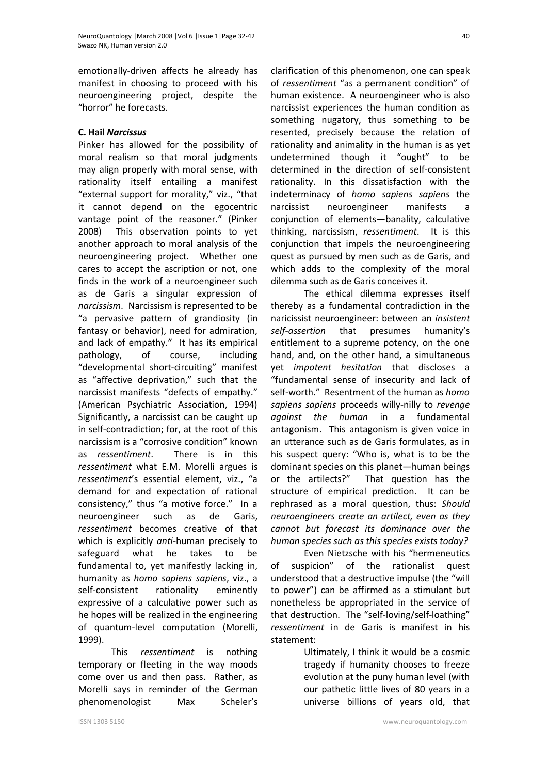emotionally-driven affects he already has manifest in choosing to proceed with his neuroengineering project, despite the "horror" he forecasts.

# **C. Hail** *Narcissus*

Pinker has allowed for the possibility of moral realism so that moral judgments may align properly with moral sense, with rationality itself entailing a manifest "external support for morality," viz., "that it cannot depend on the egocentric vantage point of the reasoner." (Pinker 2008) This observation points to yet another approach to moral analysis of the neuroengineering project. Whether one cares to accept the ascription or not, one finds in the work of a neuroengineer such as de Garis a singular expression of *narcissism*. Narcissism is represented to be "a pervasive pattern of grandiosity (in fantasy or behavior), need for admiration, and lack of empathy." It has its empirical pathology, of course, including "developmental short-circuiting" manifest as "affective deprivation," such that the narcissist manifests "defects of empathy." (American Psychiatric Association, 1994) Significantly, a narcissist can be caught up in self-contradiction; for, at the root of this narcissism is a "corrosive condition" known as *ressentiment*. There is in this *ressentiment* what E.M. Morelli argues is *ressentiment*'s essential element, viz., "a demand for and expectation of rational consistency," thus "a motive force." In a neuroengineer such as de Garis, *ressentiment* becomes creative of that which is explicitly *anti*-human precisely to safeguard what he takes to be fundamental to, yet manifestly lacking in, humanity as *homo sapiens sapiens*, viz., a self-consistent rationality eminently expressive of a calculative power such as he hopes will be realized in the engineering of quantum-level computation (Morelli, 1999).

This *ressentiment* is nothing temporary or fleeting in the way moods come over us and then pass. Rather, as Morelli says in reminder of the German phenomenologist Max Scheler's clarification of this phenomenon, one can speak of *ressentiment* "as a permanent condition" of human existence. A neuroengineer who is also narcissist experiences the human condition as something nugatory, thus something to be resented, precisely because the relation of rationality and animality in the human is as yet undetermined though it "ought" to be determined in the direction of self-consistent rationality. In this dissatisfaction with the indeterminacy of *homo sapiens sapiens* the narcissist neuroengineer manifests a conjunction of elements—banality, calculative thinking, narcissism, *ressentiment*. It is this conjunction that impels the neuroengineering quest as pursued by men such as de Garis, and which adds to the complexity of the moral dilemma such as de Garis conceives it.

The ethical dilemma expresses itself thereby as a fundamental contradiction in the naricissist neuroengineer: between an *insistent self-assertion* that presumes humanity's entitlement to a supreme potency, on the one hand, and, on the other hand, a simultaneous yet *impotent hesitation* that discloses a "fundamental sense of insecurity and lack of self-worth." Resentment of the human as *homo sapiens sapiens* proceeds willy-nilly to *revenge against the human* in a fundamental antagonism. This antagonism is given voice in an utterance such as de Garis formulates, as in his suspect query: "Who is, what is to be the dominant species on this planet—human beings or the artilects?" That question has the structure of empirical prediction. It can be rephrased as a moral question, thus: *Should neuroengineers create an artilect, even as they cannot but forecast its dominance over the human species such as this species exists today?*

Even Nietzsche with his "hermeneutics of suspicion" of the rationalist quest understood that a destructive impulse (the "will to power") can be affirmed as a stimulant but nonetheless be appropriated in the service of that destruction. The "self-loving/self-loathing" *ressentiment* in de Garis is manifest in his statement:

> Ultimately, I think it would be a cosmic tragedy if humanity chooses to freeze evolution at the puny human level (with our pathetic little lives of 80 years in a universe billions of years old, that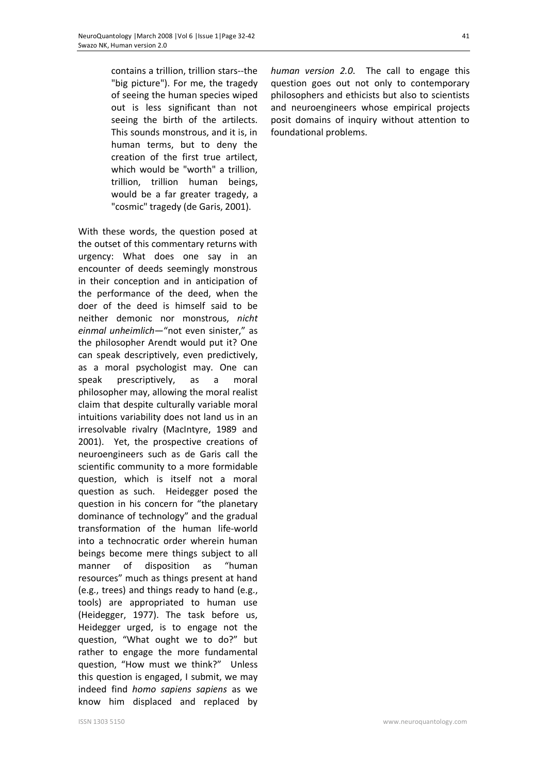contains a trillion, trillion stars--the "big picture"). For me, the tragedy of seeing the human species wiped out is less significant than not seeing the birth of the artilects. This sounds monstrous, and it is, in human terms, but to deny the creation of the first true artilect, which would be "worth" a trillion, trillion, trillion human beings, would be a far greater tragedy, a "cosmic" tragedy (de Garis, 2001).

With these words, the question posed at the outset of this commentary returns with urgency: What does one say in an encounter of deeds seemingly monstrous in their conception and in anticipation of the performance of the deed, when the doer of the deed is himself said to be neither demonic nor monstrous, *nicht einmal unheimlich—*"not even sinister," as the philosopher Arendt would put it? One can speak descriptively, even predictively, as a moral psychologist may. One can speak prescriptively, as a moral philosopher may, allowing the moral realist claim that despite culturally variable moral intuitions variability does not land us in an irresolvable rivalry (MacIntyre, 1989 and 2001). Yet, the prospective creations of neuroengineers such as de Garis call the scientific community to a more formidable question, which is itself not a moral question as such. Heidegger posed the question in his concern for "the planetary dominance of technology" and the gradual transformation of the human life-world into a technocratic order wherein human beings become mere things subject to all manner of disposition as "human resources" much as things present at hand (e.g., trees) and things ready to hand (e.g., tools) are appropriated to human use (Heidegger, 1977). The task before us, Heidegger urged, is to engage not the question, "What ought we to do?" but rather to engage the more fundamental question, "How must we think?" Unless this question is engaged, I submit, we may indeed find *homo sapiens sapiens* as we know him displaced and replaced by *human version 2.0*. The call to engage this question goes out not only to contemporary philosophers and ethicists but also to scientists and neuroengineers whose empirical projects posit domains of inquiry without attention to foundational problems.